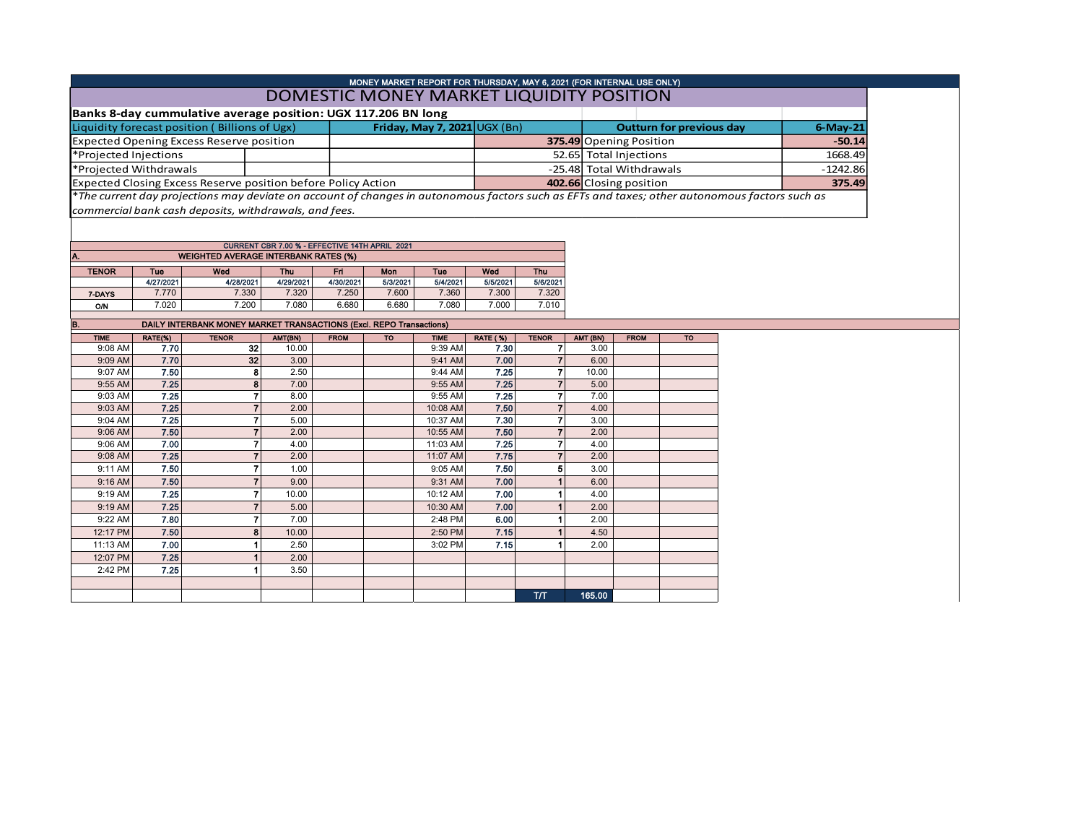| MONEY MARKET REPORT FOR THURSDAY, MAY 6, 2021 (FOR INTERNAL USE ONLY)<br>DOMESTIC MONEY MARKET LIQUIDITY POSITION                             |                                    |  |                                   |             |  |  |  |  |  |  |  |
|-----------------------------------------------------------------------------------------------------------------------------------------------|------------------------------------|--|-----------------------------------|-------------|--|--|--|--|--|--|--|
|                                                                                                                                               |                                    |  |                                   |             |  |  |  |  |  |  |  |
| Banks 8-day cummulative average position: UGX 117.206 BN long                                                                                 |                                    |  |                                   |             |  |  |  |  |  |  |  |
| Liquidity forecast position (Billions of Ugx)                                                                                                 | Friday, May 7, 2021 $\cup$ GX (Bn) |  | <b>Outturn for previous day</b>   | $6$ -May-21 |  |  |  |  |  |  |  |
| <b>Expected Opening Excess Reserve position</b>                                                                                               |                                    |  | 375.49 Opening Position           | $-50.14$    |  |  |  |  |  |  |  |
| *Projected Injections                                                                                                                         |                                    |  | 52.65 Total Injections<br>1668.49 |             |  |  |  |  |  |  |  |
| *Projected Withdrawals                                                                                                                        |                                    |  | -25.48 Total Withdrawals          | $-1242.86$  |  |  |  |  |  |  |  |
| Expected Closing Excess Reserve position before Policy Action                                                                                 |                                    |  | 402.66 Closing position           | 375.49      |  |  |  |  |  |  |  |
| *The current day projections may deviate on account of changes in autonomous factors such as EFTs and taxes; other autonomous factors such as |                                    |  |                                   |             |  |  |  |  |  |  |  |

*commercial bank cash deposits, withdrawals, and fees.*

CURRENT CBR 7.00 % - EFFECTIVE 14TH APRIL 2021

| A.           |           | <b>WEIGHTED AVERAGE INTERBANK RATES (%)</b> |           | Wed<br>Mon<br>Fri<br><b>Thu</b><br><b>Tue</b><br>5/6/2021<br>5/4/2021<br>5/5/2021<br>4/30/2021<br>5/3/2021<br>7.320<br>7,250<br>7.600<br>7.360<br>7.300 |       |       |       |       |  |
|--------------|-----------|---------------------------------------------|-----------|---------------------------------------------------------------------------------------------------------------------------------------------------------|-------|-------|-------|-------|--|
| <b>TENOR</b> | Tue       | Wed                                         | Thu       |                                                                                                                                                         |       |       |       |       |  |
|              | 4/27/2021 | 4/28/2021                                   | 4/29/2021 |                                                                                                                                                         |       |       |       |       |  |
| 7-DAYS       | 7.770     | 7.330                                       | 7.320     |                                                                                                                                                         |       |       |       |       |  |
| O/N          | 7.020     | 7.200                                       | 7.080     | 6.680                                                                                                                                                   | 6.680 | 7.080 | 7.000 | 7.010 |  |
|              |           |                                             |           |                                                                                                                                                         |       |       |       |       |  |

| B.          |         | DAILY INTERBANK MONEY MARKET TRANSACTIONS (Excl. REPO Transactions) |         |             |           |             |                 |              |          |             |           |
|-------------|---------|---------------------------------------------------------------------|---------|-------------|-----------|-------------|-----------------|--------------|----------|-------------|-----------|
| <b>TIME</b> | RATE(%) | <b>TENOR</b>                                                        | AMT(BN) | <b>FROM</b> | <b>TO</b> | <b>TIME</b> | <b>RATE (%)</b> | <b>TENOR</b> | AMT (BN) | <b>FROM</b> | <b>TO</b> |
| 9:08 AM     | 7.70    | 32                                                                  | 10.00   |             |           | 9:39 AM     | 7.30            |              | 3.00     |             |           |
| 9:09 AM     | 7.70    | 32                                                                  | 3.00    |             |           | 9:41 AM     | 7.00            |              | 6.00     |             |           |
| 9:07 AM     | 7.50    | 8                                                                   | 2.50    |             |           | 9:44 AM     | 7.25            |              | 10.00    |             |           |
| 9:55 AM     | 7.25    | 8                                                                   | 7.00    |             |           | 9:55 AM     | 7.25            |              | 5.00     |             |           |
| 9:03 AM     | 7.25    | 7                                                                   | 8.00    |             |           | 9:55 AM     | 7.25            |              | 7.00     |             |           |
| 9:03 AM     | 7.25    | 7                                                                   | 2.00    |             |           | 10:08 AM    | 7.50            |              | 4.00     |             |           |
| 9:04 AM     | 7.25    |                                                                     | 5.00    |             |           | 10:37 AM    | 7.30            |              | 3.00     |             |           |
| 9:06 AM     | 7.50    | 7                                                                   | 2.00    |             |           | 10:55 AM    | 7.50            |              | 2.00     |             |           |
| 9:06 AM     | 7.00    |                                                                     | 4.00    |             |           | 11:03 AM    | 7.25            |              | 4.00     |             |           |
| 9:08 AM     | 7.25    | 7                                                                   | 2.00    |             |           | 11:07 AM    | 7.75            |              | 2.00     |             |           |
| 9:11 AM     | 7.50    | 7                                                                   | 1.00    |             |           | 9:05 AM     | 7.50            | 5            | 3.00     |             |           |
| 9:16 AM     | 7.50    | 7                                                                   | 9.00    |             |           | 9:31 AM     | 7.00            |              | 6.00     |             |           |
| 9:19 AM     | 7.25    | 7                                                                   | 10.00   |             |           | 10:12 AM    | 7.00            |              | 4.00     |             |           |
| 9:19 AM     | 7.25    |                                                                     | 5.00    |             |           | 10:30 AM    | 7.00            |              | 2.00     |             |           |
| 9:22 AM     | 7.80    | 7                                                                   | 7.00    |             |           | 2:48 PM     | 6.00            |              | 2.00     |             |           |
| 12:17 PM    | 7.50    | 8                                                                   | 10.00   |             |           | 2:50 PM     | 7.15            |              | 4.50     |             |           |
| 11:13 AM    | 7.00    |                                                                     | 2.50    |             |           | 3:02 PM     | 7.15            |              | 2.00     |             |           |
| 12:07 PM    | 7.25    |                                                                     | 2.00    |             |           |             |                 |              |          |             |           |
| 2:42 PM     | 7.25    |                                                                     | 3.50    |             |           |             |                 |              |          |             |           |
|             |         |                                                                     |         |             |           |             |                 |              |          |             |           |
|             |         |                                                                     |         |             |           |             |                 | <b>T/T</b>   | 165.00   |             |           |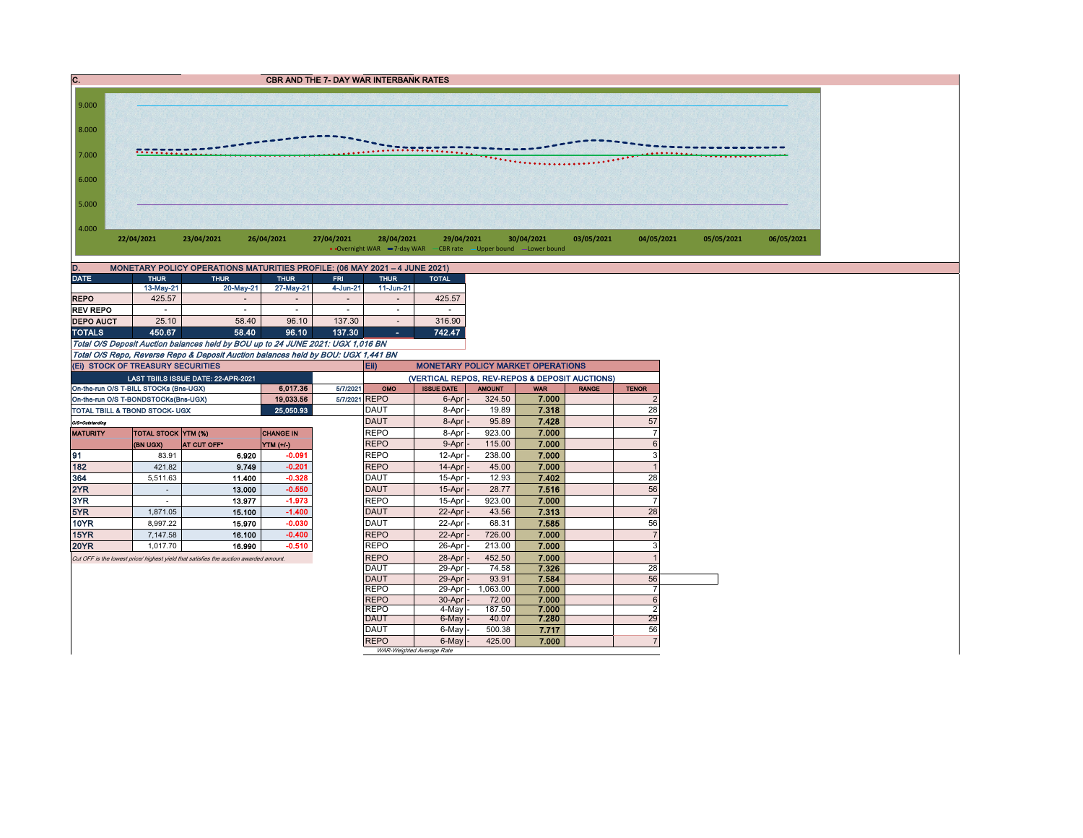` CBR AND THE 7- DAY WAR INTERBANK RATES 4.000 5.000 6.000 7.000 8.000 9.000 **22/04/2021 23/04/2021 26/04/2021 27/04/2021 28/04/2021 29/04/2021 30/04/2021 03/05/2021 04/05/2021 05/05/2021 06/05/2021** • Overnight WAR  $-7$ -day WAR  $-CBR$  rate  $-U$ pper bound  $-U$ ower bound

| MONETARY POLICY OPERATIONS MATURITIES PROFILE: (06 MAY 2021 - 4 JUNE 2021)<br>D. |                          |                          |                              |                           |              |              |  |  |  |  |  |  |
|----------------------------------------------------------------------------------|--------------------------|--------------------------|------------------------------|---------------------------|--------------|--------------|--|--|--|--|--|--|
| <b>DATE</b>                                                                      | <b>THUR</b>              | <b>THUR</b>              |                              | <b>THUR</b><br><b>FRI</b> |              | <b>TOTAL</b> |  |  |  |  |  |  |
|                                                                                  | 13-May-21                | 20-May-21                | 27-May-21                    | 4-Jun-21                  | $11$ -Jun-21 |              |  |  |  |  |  |  |
| <b>REPO</b>                                                                      | 425.57                   | $\overline{\phantom{a}}$ | $\qquad \qquad \blacksquare$ | -                         | ۰            | 425.57       |  |  |  |  |  |  |
| <b>REV REPO</b>                                                                  | $\overline{\phantom{a}}$ |                          | -                            | ۰                         | ۰            | -            |  |  |  |  |  |  |
| <b>DEPO AUCT</b>                                                                 | 25.10                    | 58.40                    | 96.10                        | 137.30                    | ۰            | 316.90       |  |  |  |  |  |  |
| <b>TOTALS</b>                                                                    | 450.67                   | 58.40                    | 96.10                        | 137.30                    | ۰            | 742.47       |  |  |  |  |  |  |

Total O/S Deposit Auction balances held by BOU up to 24 JUNE 2021: UGX 1,016 BN Total O/S Repo, Reverse Repo & Deposit Auction balances held by BOU: UGX 1,441 BN

|                 | (EI) STOCK OF TREASURY SECURITIES      |                                                                                       |                  |          | Eii)<br><b>MONETARY POLICY MARKET OPERATIONS</b> |                           |               |            |              |                |  |  |  |
|-----------------|----------------------------------------|---------------------------------------------------------------------------------------|------------------|----------|--------------------------------------------------|---------------------------|---------------|------------|--------------|----------------|--|--|--|
|                 |                                        | <b>LAST TBIILS ISSUE DATE: 22-APR-2021</b>                                            |                  |          | (VERTICAL REPOS, REV-REPOS & DEPOSIT AUCTIONS)   |                           |               |            |              |                |  |  |  |
|                 | On-the-run O/S T-BILL STOCKs (Bns-UGX) |                                                                                       | 6,017.36         | 5/7/2021 | OMO                                              | <b>ISSUE DATE</b>         | <b>AMOUNT</b> | <b>WAR</b> | <b>RANGE</b> | <b>TENOR</b>   |  |  |  |
|                 | On-the-run O/S T-BONDSTOCKs(Bns-UGX)   |                                                                                       | 19,033.56        |          | 5/7/2021 REPO                                    | 6-Apr                     | 324.50        | 7.000      |              |                |  |  |  |
|                 | TOTAL TBILL & TBOND STOCK- UGX         |                                                                                       | 25,050.93        |          | <b>DAUT</b>                                      | 8-Apr                     | 19.89         | 7.318      |              | 28             |  |  |  |
| O/S=Outstanding |                                        |                                                                                       |                  |          | <b>DAUT</b>                                      | 8-Apr                     | 95.89         | 7.428      |              | 57             |  |  |  |
| <b>MATURITY</b> | <b>TOTAL STOCK YTM (%)</b>             |                                                                                       | <b>CHANGE IN</b> |          | <b>REPO</b>                                      | 8-Apr                     | 923.00        | 7.000      |              |                |  |  |  |
|                 | (BN UGX)                               | <b>AT CUT OFF*</b>                                                                    | YTM (+/-)        |          | <b>REPO</b>                                      | 9-Apr                     | 115.00        | 7.000      |              |                |  |  |  |
| 91              | 83.91                                  | 6.920                                                                                 | $-0.091$         |          | <b>REPO</b>                                      | 12-Apr                    | 238.00        | 7.000      |              |                |  |  |  |
| 182             | 421.82                                 | 9.749                                                                                 | $-0.201$         |          | <b>REPO</b>                                      | 14-Apr                    | 45.00         | 7.000      |              |                |  |  |  |
| 364             | 5,511.63                               | 11.400                                                                                | $-0.328$         |          | <b>DAUT</b>                                      | 15-Apr                    | 12.93         | 7.402      |              | 28             |  |  |  |
| 2YR             |                                        | 13.000                                                                                | $-0.550$         |          | <b>DAUT</b>                                      | 15-Apr                    | 28.77         | 7.516      |              | 56             |  |  |  |
| 3YR             |                                        | 13.977                                                                                | $-1.973$         |          | <b>REPO</b>                                      | 15-Apr                    | 923.00        | 7.000      |              |                |  |  |  |
| 5YR             | 1.871.05                               | 15.100                                                                                | $-1.400$         |          | <b>DAUT</b>                                      | 22-Apr                    | 43.56         | 7.313      |              | 28             |  |  |  |
| 10YR            | 8.997.22                               | 15.970                                                                                | $-0.030$         |          | <b>DAUT</b>                                      | 22-Apr                    | 68.31         | 7.585      |              | 56             |  |  |  |
| 15YR            | 7.147.58                               | 16.100                                                                                | $-0.400$         |          | <b>REPO</b>                                      | 22-Apr                    | 726.00        | 7.000      |              |                |  |  |  |
| <b>20YR</b>     | 1.017.70                               | 16.990                                                                                | $-0.510$         |          | <b>REPO</b>                                      | 26-Apr                    | 213.00        | 7.000      |              |                |  |  |  |
|                 |                                        | Cut OFF is the lowest price/ highest yield that satisfies the auction awarded amount. |                  |          | <b>REPO</b>                                      | 28-Apr                    | 452.50        | 7.000      |              |                |  |  |  |
|                 |                                        |                                                                                       |                  |          | <b>DAUT</b>                                      | 29-Apr                    | 74.58         | 7.326      |              | 28             |  |  |  |
|                 |                                        |                                                                                       |                  |          | <b>DAUT</b>                                      | 29-Apr                    | 93.91         | 7.584      |              | 56             |  |  |  |
|                 |                                        |                                                                                       |                  |          | <b>REPO</b>                                      | 29-Apr                    | 1.063.00      | 7.000      |              |                |  |  |  |
|                 |                                        |                                                                                       |                  |          | <b>REPO</b>                                      | 30-Apr                    | 72.00         | 7.000      |              |                |  |  |  |
|                 |                                        |                                                                                       |                  |          | <b>REPO</b>                                      | 4-May                     | 187.50        | 7.000      |              |                |  |  |  |
|                 |                                        |                                                                                       |                  |          | <b>DAUT</b>                                      | 6-May                     | 40.07         | 7.280      |              | 29             |  |  |  |
|                 |                                        |                                                                                       |                  |          | <b>DAUT</b>                                      | 6-May                     | 500.38        | 7.717      |              | 56             |  |  |  |
|                 |                                        |                                                                                       |                  |          | <b>REPO</b>                                      | 6-May                     | 425.00        | 7.000      |              | $\overline{7}$ |  |  |  |
|                 |                                        |                                                                                       |                  |          |                                                  | WAR-Weighted Average Rate |               |            |              |                |  |  |  |